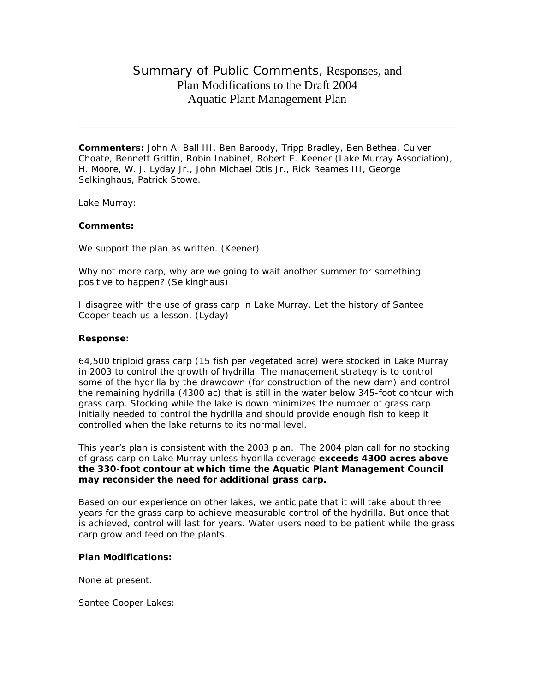# Summary of Public Comments, Responses, and Plan Modifications to the Draft 2004 Aquatic Plant Management Plan

**Commenters:** John A. Ball III, Ben Baroody, Tripp Bradley, Ben Bethea, Culver Choate, Bennett Griffin, Robin Inabinet, Robert E. Keener (Lake Murray Association), H. Moore, W. J. Lyday Jr., John Michael Otis Jr., Rick Reames III, George Selkinghaus, Patrick Stowe.

#### Lake Murray:

# **Comments:**

We support the plan as written. (Keener)

Why not more carp, why are we going to wait another summer for something positive to happen? (Selkinghaus)

I disagree with the use of grass carp in Lake Murray. Let the history of Santee Cooper teach us a lesson. (Lyday)

#### **Response:**

64,500 triploid grass carp (15 fish per vegetated acre) were stocked in Lake Murray in 2003 to control the growth of hydrilla. The management strategy is to control some of the hydrilla by the drawdown (for construction of the new dam) and control the remaining hydrilla (4300 ac) that is still in the water below 345-foot contour with grass carp. Stocking while the lake is down minimizes the number of grass carp initially needed to control the hydrilla and should provide enough fish to keep it controlled when the lake returns to its normal level.

This year's plan is consistent with the 2003 plan. The 2004 plan call for no stocking of grass carp on Lake Murray unless hydrilla coverage **exceeds 4300 acres above the 330-foot contour at which time the Aquatic Plant Management Council may reconsider the need for additional grass carp.**

Based on our experience on other lakes, we anticipate that it will take about three years for the grass carp to achieve measurable control of the hydrilla. But once that is achieved, control will last for years. Water users need to be patient while the grass carp grow and feed on the plants.

### **Plan Modifications:**

None at present.

Santee Cooper Lakes: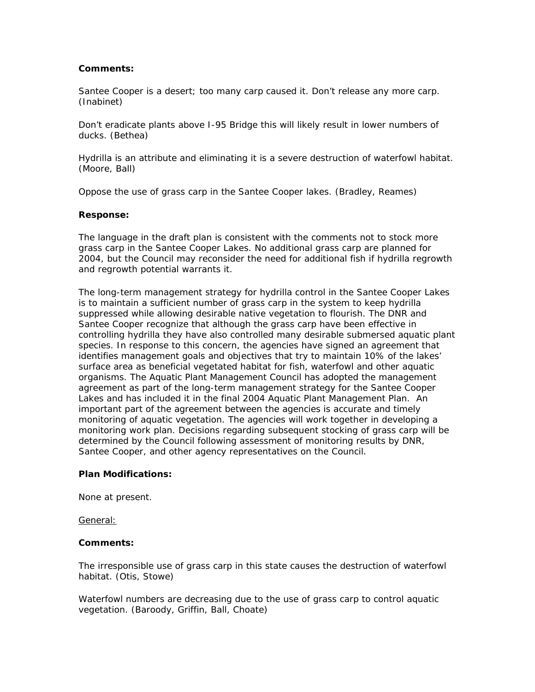# **Comments:**

Santee Cooper is a desert; too many carp caused it. Don't release any more carp. (Inabinet)

Don't eradicate plants above I-95 Bridge this will likely result in lower numbers of ducks. (Bethea)

Hydrilla is an attribute and eliminating it is a severe destruction of waterfowl habitat. (Moore, Ball)

Oppose the use of grass carp in the Santee Cooper lakes. (Bradley, Reames)

### **Response:**

The language in the draft plan is consistent with the comments not to stock more grass carp in the Santee Cooper Lakes. No additional grass carp are planned for 2004, but the Council may reconsider the need for additional fish if hydrilla regrowth and regrowth potential warrants it.

The long-term management strategy for hydrilla control in the Santee Cooper Lakes is to maintain a sufficient number of grass carp in the system to keep hydrilla suppressed while allowing desirable native vegetation to flourish. The DNR and Santee Cooper recognize that although the grass carp have been effective in controlling hydrilla they have also controlled many desirable submersed aquatic plant species. In response to this concern, the agencies have signed an agreement that identifies management goals and objectives that try to maintain 10% of the lakes' surface area as beneficial vegetated habitat for fish, waterfowl and other aquatic organisms. The Aquatic Plant Management Council has adopted the management agreement as part of the long-term management strategy for the Santee Cooper Lakes and has included it in the final 2004 Aquatic Plant Management Plan. An important part of the agreement between the agencies is accurate and timely monitoring of aquatic vegetation. The agencies will work together in developing a monitoring work plan. Decisions regarding subsequent stocking of grass carp will be determined by the Council following assessment of monitoring results by DNR, Santee Cooper, and other agency representatives on the Council.

#### **Plan Modifications:**

None at present.

General:

#### **Comments:**

The irresponsible use of grass carp in this state causes the destruction of waterfowl habitat. (Otis, Stowe)

Waterfowl numbers are decreasing due to the use of grass carp to control aquatic vegetation. (Baroody, Griffin, Ball, Choate)